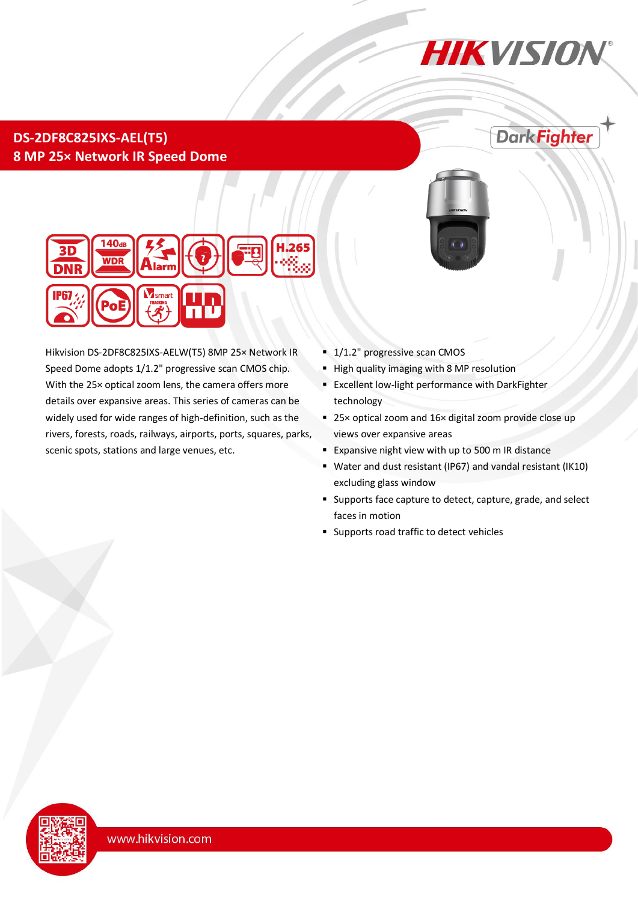# **HIKVISION**

**DarkFighter** 

## **DS-2DF8C825IXS-AEL(T5) 8 MP 25× Network IR Speed Dome**





Hikvision DS-2DF8C825IXS-AELW(T5) 8MP 25× Network IR Speed Dome adopts 1/1.2" progressive scan CMOS chip. With the 25× optical zoom lens, the camera offers more details over expansive areas. This series of cameras can be widely used for wide ranges of high-definition, such as the rivers, forests, roads, railways, airports, ports, squares, parks, scenic spots, stations and large venues, etc.

- 1/1.2" progressive scan CMOS
- **High quality imaging with 8 MP resolution**
- Excellent low-light performance with DarkFighter technology
- 25× optical zoom and 16× digital zoom provide close up views over expansive areas
- **Expansive night view with up to 500 m IR distance**
- Water and dust resistant (IP67) and vandal resistant (IK10) excluding glass window
- Supports face capture to detect, capture, grade, and select faces in motion
- **Supports road traffic to detect vehicles**

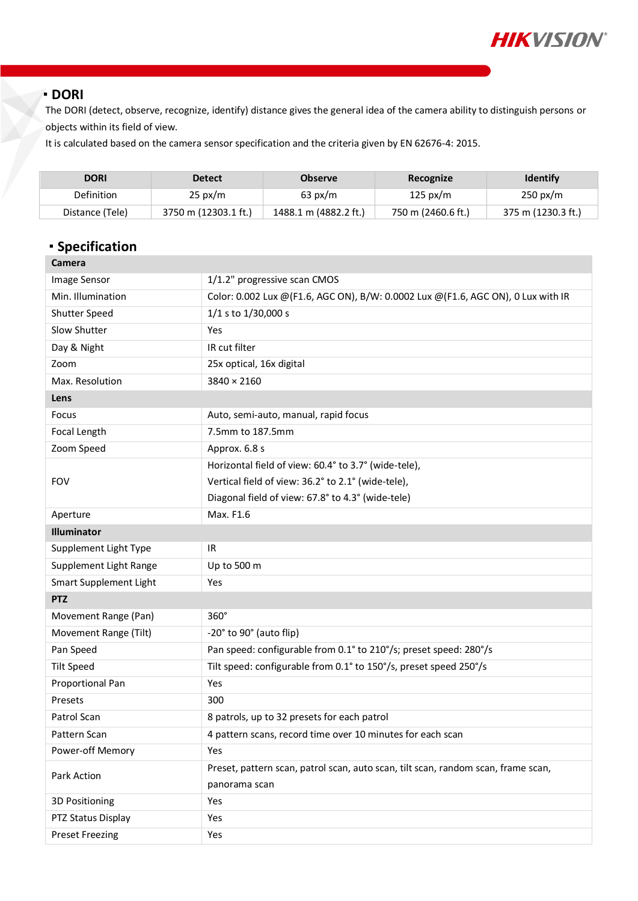

#### **DORI**

The DORI (detect, observe, recognize, identify) distance gives the general idea of the camera ability to distinguish persons or objects within its field of view.

It is calculated based on the camera sensor specification and the criteria given by EN 62676-4: 2015.

| <b>DORI</b>     | <b>Detect</b>        | <b>Observe</b>        | Recognize          | <b>Identify</b>    |
|-----------------|----------------------|-----------------------|--------------------|--------------------|
| Definition      | $25 \text{ px/m}$    | $63 \text{ px/m}$     | 125 px/m           | $250 \text{ px/m}$ |
| Distance (Tele) | 3750 m (12303.1 ft.) | 1488.1 m (4882.2 ft.) | 750 m (2460.6 ft.) | 375 m (1230.3 ft.) |

## **Specification**

| Camera                 |                                                                                    |  |
|------------------------|------------------------------------------------------------------------------------|--|
| <b>Image Sensor</b>    | 1/1.2" progressive scan CMOS                                                       |  |
| Min. Illumination      | Color: 0.002 Lux @ (F1.6, AGC ON), B/W: 0.0002 Lux @ (F1.6, AGC ON), 0 Lux with IR |  |
| Shutter Speed          | 1/1 s to 1/30,000 s                                                                |  |
| Slow Shutter           | Yes                                                                                |  |
| Day & Night            | IR cut filter                                                                      |  |
| Zoom                   | 25x optical, 16x digital                                                           |  |
| Max. Resolution        | 3840 × 2160                                                                        |  |
| Lens                   |                                                                                    |  |
| Focus                  | Auto, semi-auto, manual, rapid focus                                               |  |
| Focal Length           | 7.5mm to 187.5mm                                                                   |  |
| Zoom Speed             | Approx. 6.8 s                                                                      |  |
|                        | Horizontal field of view: 60.4° to 3.7° (wide-tele),                               |  |
| <b>FOV</b>             | Vertical field of view: 36.2° to 2.1° (wide-tele),                                 |  |
|                        | Diagonal field of view: 67.8° to 4.3° (wide-tele)                                  |  |
| Aperture               | Max. F1.6                                                                          |  |
| Illuminator            |                                                                                    |  |
| Supplement Light Type  | IR                                                                                 |  |
| Supplement Light Range | Up to 500 m                                                                        |  |
| Smart Supplement Light | Yes                                                                                |  |
| <b>PTZ</b>             |                                                                                    |  |
| Movement Range (Pan)   | $360^\circ$                                                                        |  |
| Movement Range (Tilt)  | -20° to 90° (auto flip)                                                            |  |
| Pan Speed              | Pan speed: configurable from 0.1° to 210°/s; preset speed: 280°/s                  |  |
| <b>Tilt Speed</b>      | Tilt speed: configurable from 0.1° to 150°/s, preset speed 250°/s                  |  |
| Proportional Pan       | Yes                                                                                |  |
| Presets                | 300                                                                                |  |
| Patrol Scan            | 8 patrols, up to 32 presets for each patrol                                        |  |
| Pattern Scan           | 4 pattern scans, record time over 10 minutes for each scan                         |  |
| Power-off Memory       | Yes                                                                                |  |
| Park Action            | Preset, pattern scan, patrol scan, auto scan, tilt scan, random scan, frame scan,  |  |
|                        | panorama scan                                                                      |  |
| 3D Positioning         | Yes                                                                                |  |
| PTZ Status Display     | Yes                                                                                |  |
| <b>Preset Freezing</b> | Yes                                                                                |  |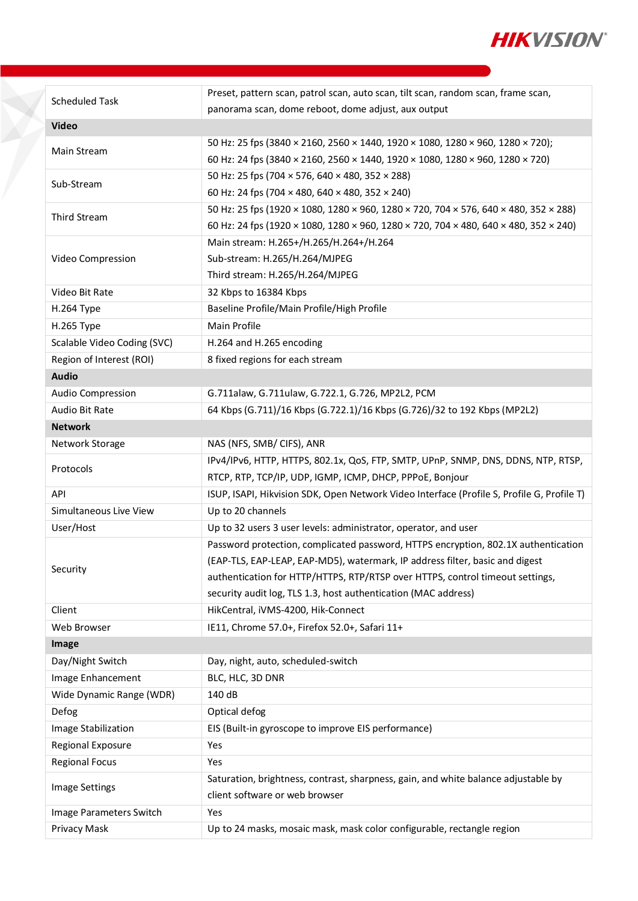

| <b>Scheduled Task</b>       | Preset, pattern scan, patrol scan, auto scan, tilt scan, random scan, frame scan,          |  |
|-----------------------------|--------------------------------------------------------------------------------------------|--|
|                             | panorama scan, dome reboot, dome adjust, aux output                                        |  |
| <b>Video</b>                |                                                                                            |  |
| Main Stream                 | 50 Hz: 25 fps (3840 × 2160, 2560 × 1440, 1920 × 1080, 1280 × 960, 1280 × 720);             |  |
|                             | 60 Hz: 24 fps (3840 × 2160, 2560 × 1440, 1920 × 1080, 1280 × 960, 1280 × 720)              |  |
|                             | 50 Hz: 25 fps (704 × 576, 640 × 480, 352 × 288)                                            |  |
| Sub-Stream                  | 60 Hz: 24 fps (704 × 480, 640 × 480, 352 × 240)                                            |  |
|                             | 50 Hz: 25 fps (1920 × 1080, 1280 × 960, 1280 × 720, 704 × 576, 640 × 480, 352 × 288)       |  |
| <b>Third Stream</b>         | 60 Hz: 24 fps (1920 × 1080, 1280 × 960, 1280 × 720, 704 × 480, 640 × 480, 352 × 240)       |  |
|                             | Main stream: H.265+/H.265/H.264+/H.264                                                     |  |
| Video Compression           | Sub-stream: H.265/H.264/MJPEG                                                              |  |
|                             | Third stream: H.265/H.264/MJPEG                                                            |  |
| Video Bit Rate              | 32 Kbps to 16384 Kbps                                                                      |  |
| H.264 Type                  | Baseline Profile/Main Profile/High Profile                                                 |  |
| H.265 Type                  | Main Profile                                                                               |  |
| Scalable Video Coding (SVC) | H.264 and H.265 encoding                                                                   |  |
| Region of Interest (ROI)    | 8 fixed regions for each stream                                                            |  |
| <b>Audio</b>                |                                                                                            |  |
| Audio Compression           | G.711alaw, G.711ulaw, G.722.1, G.726, MP2L2, PCM                                           |  |
| Audio Bit Rate              | 64 Kbps (G.711)/16 Kbps (G.722.1)/16 Kbps (G.726)/32 to 192 Kbps (MP2L2)                   |  |
| <b>Network</b>              |                                                                                            |  |
| Network Storage             | NAS (NFS, SMB/ CIFS), ANR                                                                  |  |
|                             | IPv4/IPv6, HTTP, HTTPS, 802.1x, QoS, FTP, SMTP, UPnP, SNMP, DNS, DDNS, NTP, RTSP,          |  |
| Protocols                   | RTCP, RTP, TCP/IP, UDP, IGMP, ICMP, DHCP, PPPoE, Bonjour                                   |  |
| API                         | ISUP, ISAPI, Hikvision SDK, Open Network Video Interface (Profile S, Profile G, Profile T) |  |
| Simultaneous Live View      | Up to 20 channels                                                                          |  |
| User/Host                   | Up to 32 users 3 user levels: administrator, operator, and user                            |  |
|                             | Password protection, complicated password, HTTPS encryption, 802.1X authentication         |  |
|                             | (EAP-TLS, EAP-LEAP, EAP-MD5), watermark, IP address filter, basic and digest               |  |
| Security                    | authentication for HTTP/HTTPS, RTP/RTSP over HTTPS, control timeout settings,              |  |
|                             | security audit log, TLS 1.3, host authentication (MAC address)                             |  |
| Client                      | HikCentral, iVMS-4200, Hik-Connect                                                         |  |
| Web Browser                 | IE11, Chrome 57.0+, Firefox 52.0+, Safari 11+                                              |  |
| Image                       |                                                                                            |  |
| Day/Night Switch            | Day, night, auto, scheduled-switch                                                         |  |
| Image Enhancement           | BLC, HLC, 3D DNR                                                                           |  |
| Wide Dynamic Range (WDR)    | 140 dB                                                                                     |  |
| Defog                       | Optical defog                                                                              |  |
| Image Stabilization         | EIS (Built-in gyroscope to improve EIS performance)                                        |  |
| Regional Exposure           | Yes                                                                                        |  |
| <b>Regional Focus</b>       | Yes                                                                                        |  |
|                             | Saturation, brightness, contrast, sharpness, gain, and white balance adjustable by         |  |
| Image Settings              | client software or web browser                                                             |  |
| Image Parameters Switch     | Yes                                                                                        |  |
| Privacy Mask                | Up to 24 masks, mosaic mask, mask color configurable, rectangle region                     |  |
|                             |                                                                                            |  |

T.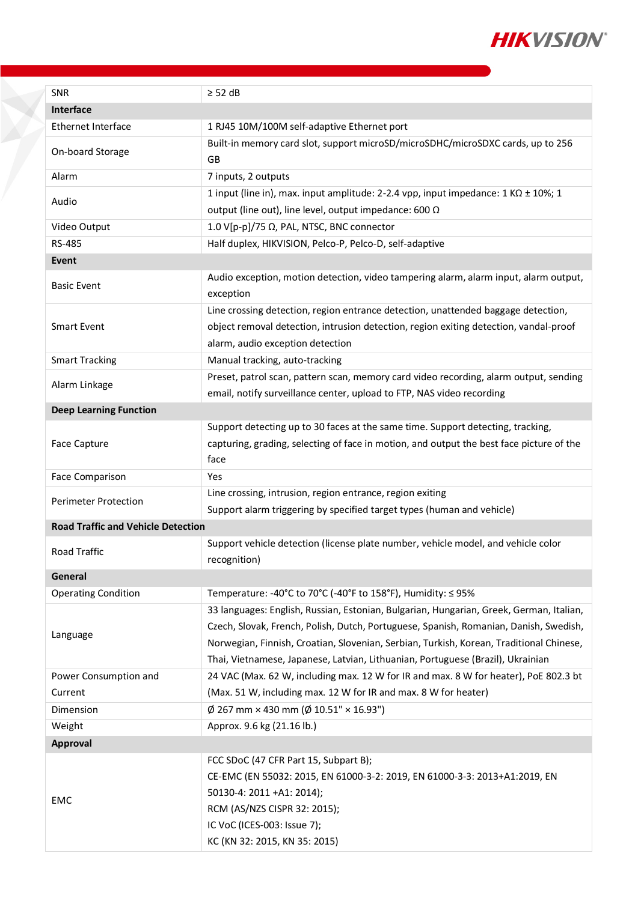

| <b>SNR</b>                                | $\geq$ 52 dB                                                                                                                                                                                                                                                                                                                                                   |  |
|-------------------------------------------|----------------------------------------------------------------------------------------------------------------------------------------------------------------------------------------------------------------------------------------------------------------------------------------------------------------------------------------------------------------|--|
| Interface                                 |                                                                                                                                                                                                                                                                                                                                                                |  |
| <b>Ethernet Interface</b>                 | 1 RJ45 10M/100M self-adaptive Ethernet port                                                                                                                                                                                                                                                                                                                    |  |
| On-board Storage                          | Built-in memory card slot, support microSD/microSDHC/microSDXC cards, up to 256<br>GB                                                                                                                                                                                                                                                                          |  |
| Alarm                                     | 7 inputs, 2 outputs                                                                                                                                                                                                                                                                                                                                            |  |
|                                           | 1 input (line in), max. input amplitude: 2-2.4 vpp, input impedance: $1$ K $\Omega$ ± 10%; 1                                                                                                                                                                                                                                                                   |  |
| Audio                                     | output (line out), line level, output impedance: 600 $\Omega$                                                                                                                                                                                                                                                                                                  |  |
| Video Output                              | 1.0 V[p-p]/75 Ω, PAL, NTSC, BNC connector                                                                                                                                                                                                                                                                                                                      |  |
| RS-485                                    | Half duplex, HIKVISION, Pelco-P, Pelco-D, self-adaptive                                                                                                                                                                                                                                                                                                        |  |
| Event                                     |                                                                                                                                                                                                                                                                                                                                                                |  |
| <b>Basic Event</b>                        | Audio exception, motion detection, video tampering alarm, alarm input, alarm output,<br>exception                                                                                                                                                                                                                                                              |  |
| <b>Smart Event</b>                        | Line crossing detection, region entrance detection, unattended baggage detection,<br>object removal detection, intrusion detection, region exiting detection, vandal-proof<br>alarm, audio exception detection                                                                                                                                                 |  |
| <b>Smart Tracking</b>                     | Manual tracking, auto-tracking                                                                                                                                                                                                                                                                                                                                 |  |
| Alarm Linkage                             | Preset, patrol scan, pattern scan, memory card video recording, alarm output, sending<br>email, notify surveillance center, upload to FTP, NAS video recording                                                                                                                                                                                                 |  |
| <b>Deep Learning Function</b>             |                                                                                                                                                                                                                                                                                                                                                                |  |
| Face Capture                              | Support detecting up to 30 faces at the same time. Support detecting, tracking,<br>capturing, grading, selecting of face in motion, and output the best face picture of the<br>face                                                                                                                                                                            |  |
| Face Comparison                           | Yes                                                                                                                                                                                                                                                                                                                                                            |  |
| <b>Perimeter Protection</b>               | Line crossing, intrusion, region entrance, region exiting<br>Support alarm triggering by specified target types (human and vehicle)                                                                                                                                                                                                                            |  |
| <b>Road Traffic and Vehicle Detection</b> |                                                                                                                                                                                                                                                                                                                                                                |  |
| <b>Road Traffic</b>                       | Support vehicle detection (license plate number, vehicle model, and vehicle color<br>recognition)                                                                                                                                                                                                                                                              |  |
| General                                   |                                                                                                                                                                                                                                                                                                                                                                |  |
| <b>Operating Condition</b>                | Temperature: -40°C to 70°C (-40°F to 158°F), Humidity: $\leq$ 95%                                                                                                                                                                                                                                                                                              |  |
| Language                                  | 33 languages: English, Russian, Estonian, Bulgarian, Hungarian, Greek, German, Italian,<br>Czech, Slovak, French, Polish, Dutch, Portuguese, Spanish, Romanian, Danish, Swedish,<br>Norwegian, Finnish, Croatian, Slovenian, Serbian, Turkish, Korean, Traditional Chinese,<br>Thai, Vietnamese, Japanese, Latvian, Lithuanian, Portuguese (Brazil), Ukrainian |  |
| Power Consumption and                     | 24 VAC (Max. 62 W, including max. 12 W for IR and max. 8 W for heater), PoE 802.3 bt                                                                                                                                                                                                                                                                           |  |
| Current                                   | (Max. 51 W, including max. 12 W for IR and max. 8 W for heater)                                                                                                                                                                                                                                                                                                |  |
| Dimension                                 | $\phi$ 267 mm × 430 mm ( $\phi$ 10.51" × 16.93")                                                                                                                                                                                                                                                                                                               |  |
| Weight                                    | Approx. 9.6 kg (21.16 lb.)                                                                                                                                                                                                                                                                                                                                     |  |
| Approval                                  |                                                                                                                                                                                                                                                                                                                                                                |  |
| <b>EMC</b>                                | FCC SDoC (47 CFR Part 15, Subpart B);<br>CE-EMC (EN 55032: 2015, EN 61000-3-2: 2019, EN 61000-3-3: 2013+A1:2019, EN<br>50130-4: 2011 +A1: 2014);<br>RCM (AS/NZS CISPR 32: 2015);<br>IC VoC (ICES-003: Issue 7);<br>KC (KN 32: 2015, KN 35: 2015)                                                                                                               |  |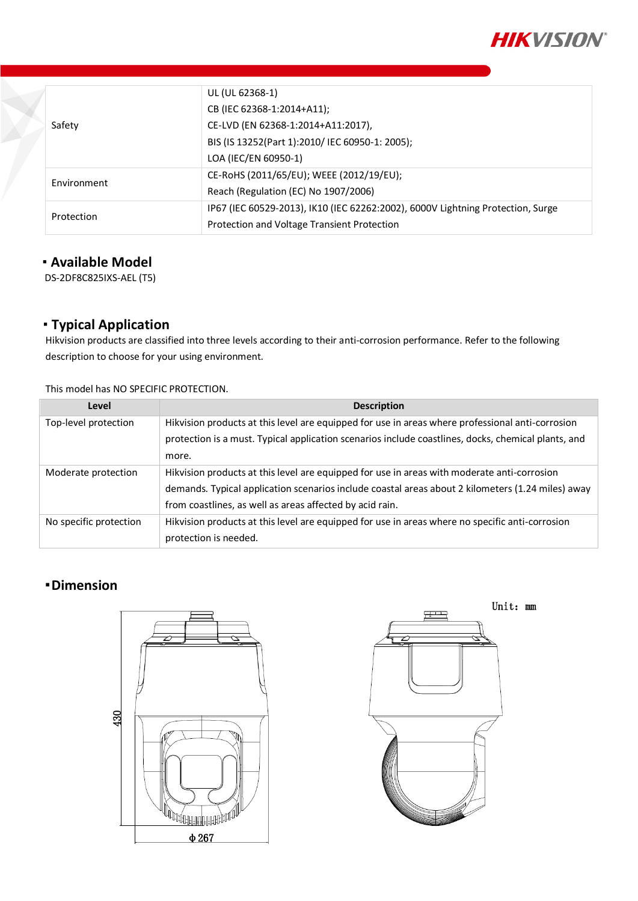

|             | UL (UL 62368-1)                                                                 |  |
|-------------|---------------------------------------------------------------------------------|--|
|             | CB (IEC 62368-1:2014+A11);                                                      |  |
| Safety      | CE-LVD (EN 62368-1:2014+A11:2017),                                              |  |
|             | BIS (IS 13252(Part 1):2010/ IEC 60950-1: 2005);                                 |  |
|             | LOA (IEC/EN 60950-1)                                                            |  |
|             | CE-RoHS (2011/65/EU); WEEE (2012/19/EU);                                        |  |
| Environment | Reach (Regulation (EC) No 1907/2006)                                            |  |
|             | IP67 (IEC 60529-2013), IK10 (IEC 62262:2002), 6000V Lightning Protection, Surge |  |
| Protection  | Protection and Voltage Transient Protection                                     |  |

#### **Available Model**

DS-2DF8C825IXS-AEL (T5)

### **Typical Application**

Hikvision products are classified into three levels according to their anti-corrosion performance. Refer to the following description to choose for your using environment.

This model has NO SPECIFIC PROTECTION.

| Level                  | <b>Description</b>                                                                                  |  |
|------------------------|-----------------------------------------------------------------------------------------------------|--|
| Top-level protection   | Hikvision products at this level are equipped for use in areas where professional anti-corrosion    |  |
|                        | protection is a must. Typical application scenarios include coastlines, docks, chemical plants, and |  |
|                        | more.                                                                                               |  |
| Moderate protection    | Hikvision products at this level are equipped for use in areas with moderate anti-corrosion         |  |
|                        | demands. Typical application scenarios include coastal areas about 2 kilometers (1.24 miles) away   |  |
|                        | from coastlines, as well as areas affected by acid rain.                                            |  |
| No specific protection | Hikvision products at this level are equipped for use in areas where no specific anti-corrosion     |  |
|                        | protection is needed.                                                                               |  |

## **Dimension**



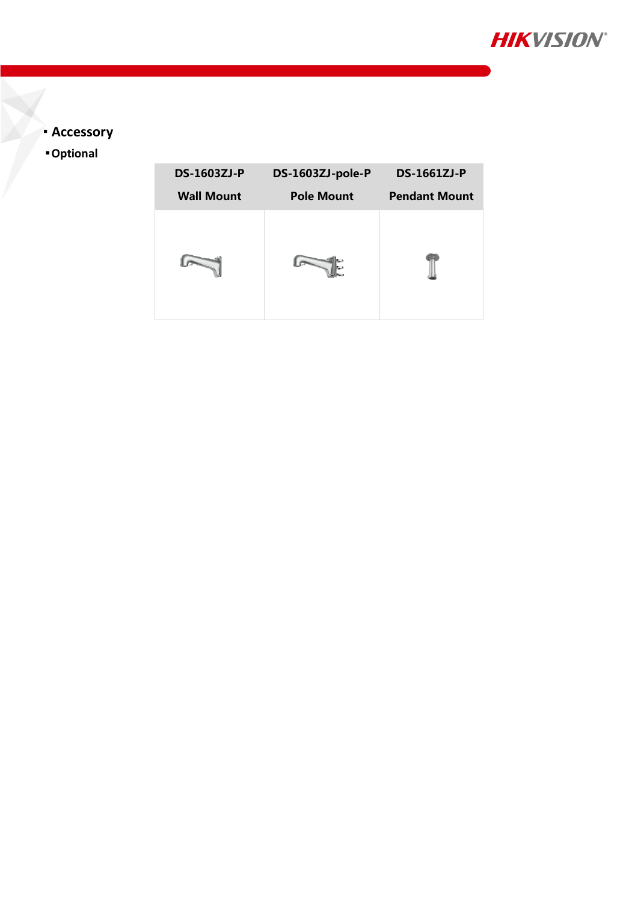

## **Accessory**

**Optional**

| <b>DS-1603ZJ-P</b> | DS-1603ZJ-pole-P  | <b>DS-1661ZJ-P</b>   |
|--------------------|-------------------|----------------------|
| <b>Wall Mount</b>  | <b>Pole Mount</b> | <b>Pendant Mount</b> |
|                    |                   |                      |